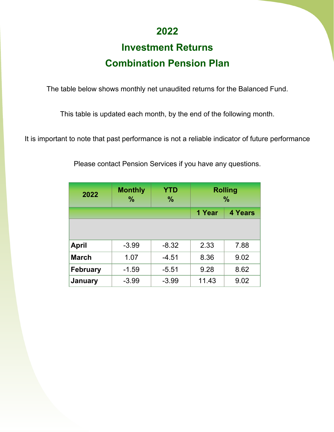## **2022**

## **Investment Returns Combination Pension Plan**

The table below shows monthly net unaudited returns for the Balanced Fund.

This table is updated each month, by the end of the following month.

It is important to note that past performance is not a reliable indicator of future performance

| 2022            | <b>Monthly</b><br>$\frac{0}{0}$ | <b>YTD</b><br>$\frac{9}{6}$ | <b>Rolling</b><br>$\frac{9}{6}$ |      |
|-----------------|---------------------------------|-----------------------------|---------------------------------|------|
|                 |                                 | 1 Year                      | <b>4 Years</b>                  |      |
|                 |                                 |                             |                                 |      |
| <b>April</b>    | $-3.99$                         | $-8.32$                     | 2.33                            | 7.88 |
| <b>March</b>    | 1.07                            | $-4.51$                     | 8.36                            | 9.02 |
| <b>February</b> | $-1.59$                         | $-5.51$                     | 9.28                            | 8.62 |
| <b>January</b>  | $-3.99$                         | $-3.99$                     | 11.43                           | 9.02 |

Please contact Pension Services if you have any questions.